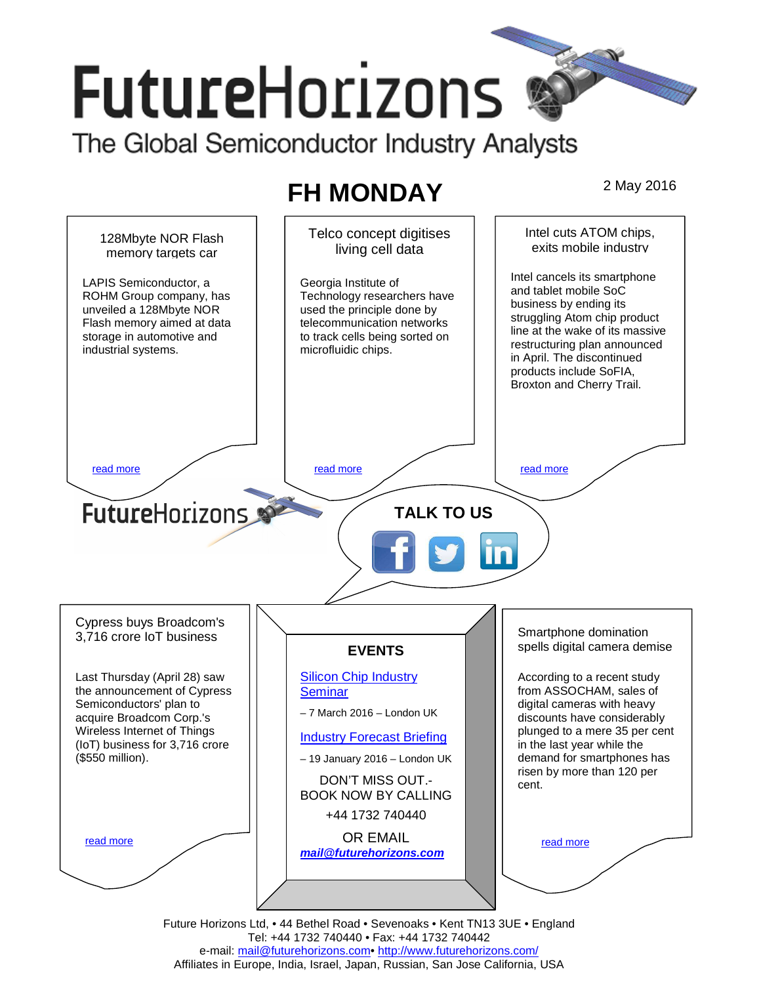# **FutureHorizons** The Global Semiconductor Industry Analysts

# **FH MONDAY** 2 May 2016



Tel: +44 1732 740440 • Fax: +44 1732 740442 e-mail: mail@futurehorizons.com• http://www.futurehorizons.com/ Affiliates in Europe, India, Israel, Japan, Russian, San Jose California, USA